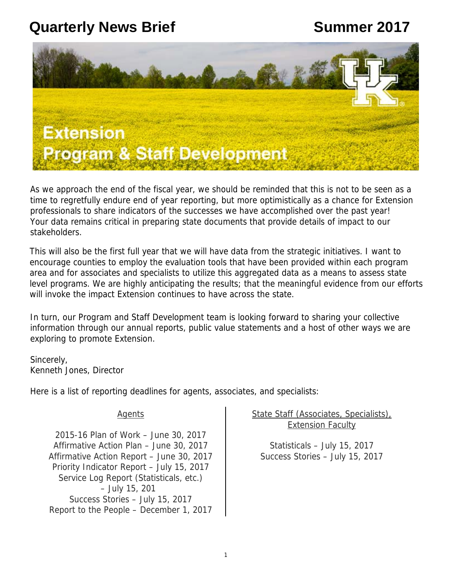## **Quarterly News Brief <b>Summer 2017**



As we approach the end of the fiscal year, we should be reminded that this is not to be seen as a time to regretfully endure end of year reporting, but more optimistically as a chance for Extension professionals to share indicators of the successes we have accomplished over the past year! Your data remains critical in preparing state documents that provide details of impact to our stakeholders.

This will also be the first full year that we will have data from the strategic initiatives. I want to encourage counties to employ the evaluation tools that have been provided within each program area and for associates and specialists to utilize this aggregated data as a means to assess state level programs. We are highly anticipating the results; that the meaningful evidence from our efforts will invoke the impact Extension continues to have across the state.

In turn, our Program and Staff Development team is looking forward to sharing your collective information through our annual reports, public value statements and a host of other ways we are exploring to promote Extension.

Sincerely, Kenneth Jones, Director

Here is a list of reporting deadlines for agents, associates, and specialists:

**Agents** 

2015-16 Plan of Work – June 30, 2017 Affirmative Action Plan – June 30, 2017 Affirmative Action Report – June 30, 2017 Priority Indicator Report – July 15, 2017 Service Log Report (Statisticals, etc.) – July 15, 201 Success Stories – July 15, 2017 Report to the People – December 1, 2017

State Staff (Associates, Specialists), Extension Faculty

Statisticals – July 15, 2017 Success Stories – July 15, 2017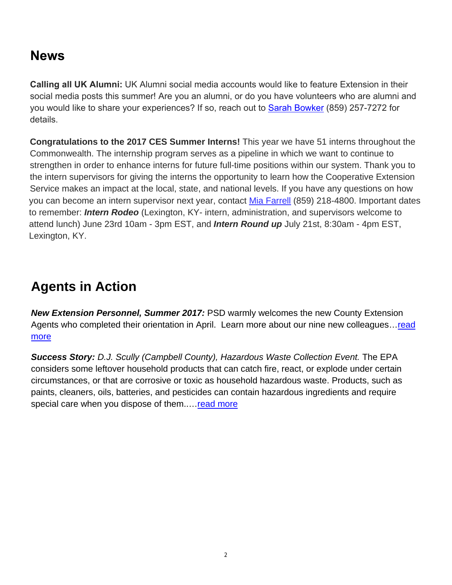#### **News**

**Calling all UK Alumni:** UK Alumni social media accounts would like to feature Extension in their social media posts this summer! Are you an alumni, or do you have volunteers who are alumni and you would like to share your experiences? If so, reach out to [Sarah Bowker](mailto:sarah.frank@uky.edu) (859) 257-7272 for details.

**Congratulations to the 2017 CES Summer Interns!** This year we have 51 interns throughout the Commonwealth. The internship program serves as a pipeline in which we want to continue to strengthen in order to enhance interns for future full-time positions within our system. Thank you to the intern supervisors for giving the interns the opportunity to learn how the Cooperative Extension Service makes an impact at the local, state, and national levels. If you have any questions on how you can become an intern supervisor next year, contact [Mia Farrell](mailto:antomia.farrell@uky.edu) (859) 218-4800. Important dates to remember: *Intern Rodeo* (Lexington, KY- intern, administration, and supervisors welcome to attend lunch) June 23rd 10am - 3pm EST, and *Intern Round up* July 21st, 8:30am - 4pm EST, Lexington, KY.

#### **Agents in Action**

*New Extension Personnel, Summer 2017:* PSD warmly welcomes the new County Extension Agents who completed their orientation in April. Learn more about our nine new colleagues... read [more](https://psd.ca.uky.edu/sites/psd.ca.uky.edu/files/psd_news_brief_bios_may_2017_final.pdf)

*Success Story: D.J. Scully (Campbell County), Hazardous Waste Collection Event.* The EPA considers some leftover household products that can catch fire, react, or explode under certain circumstances, or that are corrosive or toxic as household hazardous waste. Products, such as paints, cleaners, oils, batteries, and pesticides can contain hazardous ingredients and require special care when you dispose of them.... read more